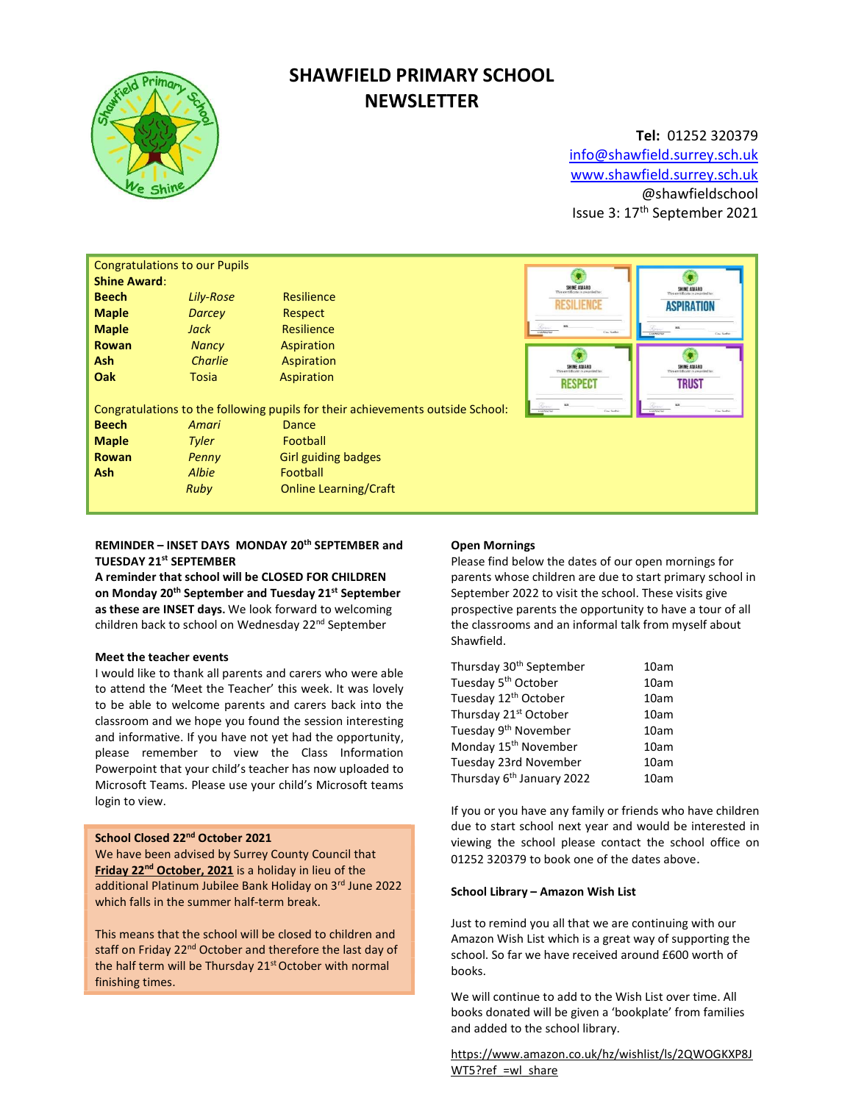

# SHAWFIELD PRIMARY SCHOOL **NEWSLETTER**

## Tel: 01252 320379 info@shawfield.surrey.sch.uk www.shawfield.surrey.sch.uk @shawfieldschool Issue 3: 17th September 2021

|                                                                                                                                          | <b>Congratulations to our Pupils</b> |                              |                                                                    |                                  |
|------------------------------------------------------------------------------------------------------------------------------------------|--------------------------------------|------------------------------|--------------------------------------------------------------------|----------------------------------|
| <b>Shine Award:</b>                                                                                                                      |                                      |                              | SHINE AWARD                                                        |                                  |
| <b>Beech</b>                                                                                                                             | Lily-Rose                            | Resilience                   | <b>RESILIENCI</b>                                                  | SHINE AWARD<br><b>ASPIRATION</b> |
| <b>Maple</b>                                                                                                                             | <b>Darcey</b>                        | Respect                      |                                                                    |                                  |
| <b>Maple</b>                                                                                                                             | Jack                                 | Resilience                   | $\mathcal{L}_{\text{max}}$<br>sec.<br><b>NAMES</b> NO<br>Cay Serbs | Naschrichte<br>Cas Serbis        |
| <b>Rowan</b>                                                                                                                             | <b>Nancy</b>                         | Aspiration                   |                                                                    |                                  |
| <b>Ash</b>                                                                                                                               | Charlie                              | Aspiration                   | SHINE AWARD                                                        | SHINE AWARD                      |
| Oak                                                                                                                                      | Tosia                                | Aspiration                   | <b>RESPECT</b>                                                     | <b>TRUST</b>                     |
|                                                                                                                                          |                                      |                              |                                                                    |                                  |
| Congratulations to the following pupils for their achievements outside School:<br>Nashridge<br>Cas Serbis<br><b>NAVNOV</b><br>Cay Serbis |                                      |                              |                                                                    |                                  |
| <b>Beech</b>                                                                                                                             | Amari                                | <b>Dance</b>                 |                                                                    |                                  |
| <b>Maple</b>                                                                                                                             | <b>Tyler</b>                         | Football                     |                                                                    |                                  |
| Rowan                                                                                                                                    | Penny                                | <b>Girl guiding badges</b>   |                                                                    |                                  |
| <b>Ash</b>                                                                                                                               | <b>Albie</b>                         | Football                     |                                                                    |                                  |
|                                                                                                                                          | Ruby                                 | <b>Online Learning/Craft</b> |                                                                    |                                  |
|                                                                                                                                          |                                      |                              |                                                                    |                                  |

## REMINDER – INSET DAYS MONDAY 20th SEPTEMBER and TUESDAY 21st SEPTEMBER

A reminder that school will be CLOSED FOR CHILDREN on Monday 20<sup>th</sup> September and Tuesday 21<sup>st</sup> September as these are INSET days. We look forward to welcoming children back to school on Wednesday 22<sup>nd</sup> September

## Meet the teacher events

I would like to thank all parents and carers who were able to attend the 'Meet the Teacher' this week. It was lovely to be able to welcome parents and carers back into the classroom and we hope you found the session interesting and informative. If you have not yet had the opportunity, please remember to view the Class Information Powerpoint that your child's teacher has now uploaded to Microsoft Teams. Please use your child's Microsoft teams login to view.

## School Closed 22<sup>nd</sup> October 2021

We have been advised by Surrey County Council that Friday 22<sup>nd</sup> October, 2021 is a holiday in lieu of the additional Platinum Jubilee Bank Holiday on 3rd June 2022 which falls in the summer half-term break.

This means that the school will be closed to children and staff on Friday 22<sup>nd</sup> October and therefore the last day of the half term will be Thursday 21<sup>st</sup> October with normal finishing times.

## Open Mornings

Please find below the dates of our open mornings for parents whose children are due to start primary school in September 2022 to visit the school. These visits give prospective parents the opportunity to have a tour of all the classrooms and an informal talk from myself about Shawfield.

| Thursday 30 <sup>th</sup> September   | 10am |
|---------------------------------------|------|
| Tuesday 5 <sup>th</sup> October       | 10am |
| Tuesday 12 <sup>th</sup> October      | 10am |
| Thursday 21st October                 | 10am |
| Tuesday 9 <sup>th</sup> November      | 10am |
| Monday 15 <sup>th</sup> November      | 10am |
| Tuesday 23rd November                 | 10am |
| Thursday 6 <sup>th</sup> January 2022 | 10am |

If you or you have any family or friends who have children due to start school next year and would be interested in viewing the school please contact the school office on 01252 320379 to book one of the dates above.

#### School Library – Amazon Wish List

Just to remind you all that we are continuing with our Amazon Wish List which is a great way of supporting the school. So far we have received around £600 worth of books.

We will continue to add to the Wish List over time. All books donated will be given a 'bookplate' from families and added to the school library.

https://www.amazon.co.uk/hz/wishlist/ls/2QWOGKXP8J WT5?ref =wl\_share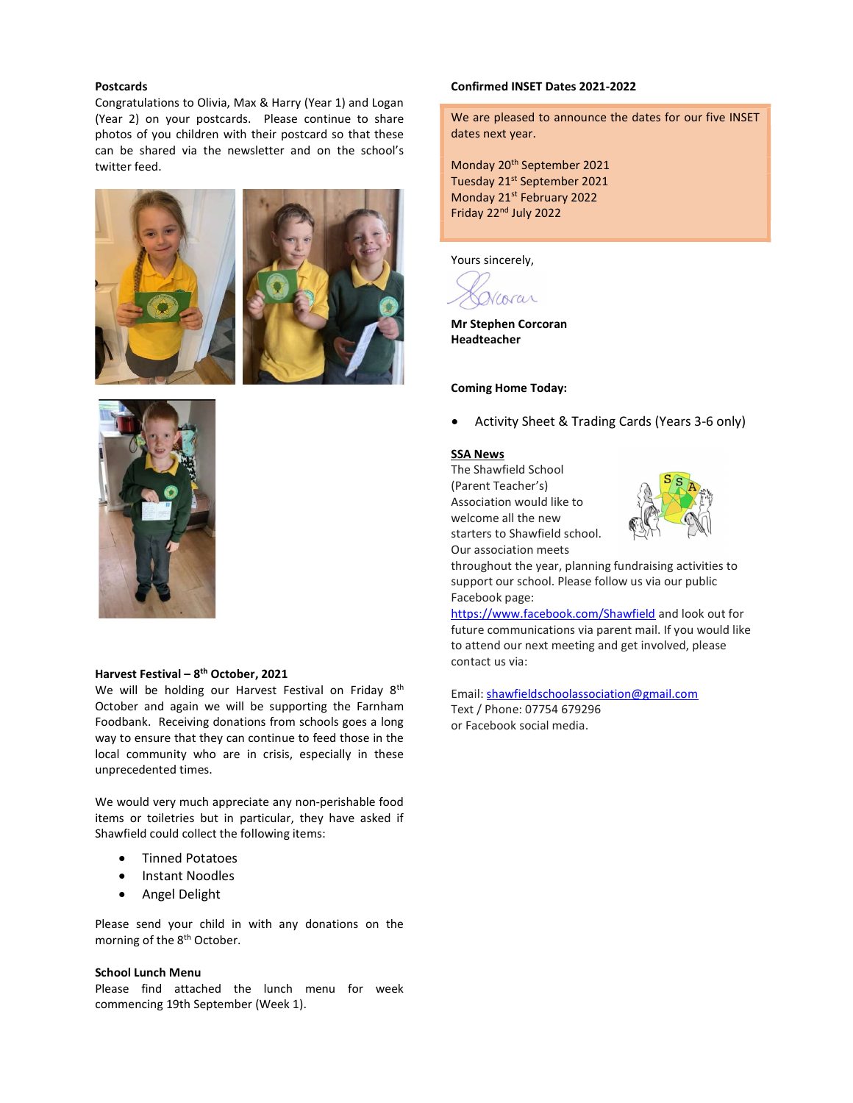#### Postcards

Congratulations to Olivia, Max & Harry (Year 1) and Logan (Year 2) on your postcards. Please continue to share photos of you children with their postcard so that these can be shared via the newsletter and on the school's twitter feed.







## Harvest Festival - 8<sup>th</sup> October, 2021

We will be holding our Harvest Festival on Friday 8<sup>th</sup> October and again we will be supporting the Farnham Foodbank. Receiving donations from schools goes a long way to ensure that they can continue to feed those in the local community who are in crisis, especially in these unprecedented times.

We would very much appreciate any non-perishable food items or toiletries but in particular, they have asked if Shawfield could collect the following items:

- **•** Tinned Potatoes
- Instant Noodles
- **•** Angel Delight

Please send your child in with any donations on the morning of the 8<sup>th</sup> October.

## School Lunch Menu

Please find attached the lunch menu for week commencing 19th September (Week 1).

#### Confirmed INSET Dates 2021-2022

We are pleased to announce the dates for our five INSET dates next year.

Monday 20<sup>th</sup> September 2021 Tuesday 21<sup>st</sup> September 2021 Monday 21<sup>st</sup> February 2022 Friday 22<sup>nd</sup> July 2022

Yours sincerely,

Viorar

Mr Stephen Corcoran Headteacher

#### Coming Home Today:

Activity Sheet & Trading Cards (Years 3-6 only)

#### SSA News

The Shawfield School (Parent Teacher's) Association would like to welcome all the new starters to Shawfield school. Our association meets



throughout the year, planning fundraising activities to support our school. Please follow us via our public Facebook page:

https://www.facebook.com/Shawfield and look out for future communications via parent mail. If you would like to attend our next meeting and get involved, please contact us via:

Email: shawfieldschoolassociation@gmail.com Text / Phone: 07754 679296 or Facebook social media.